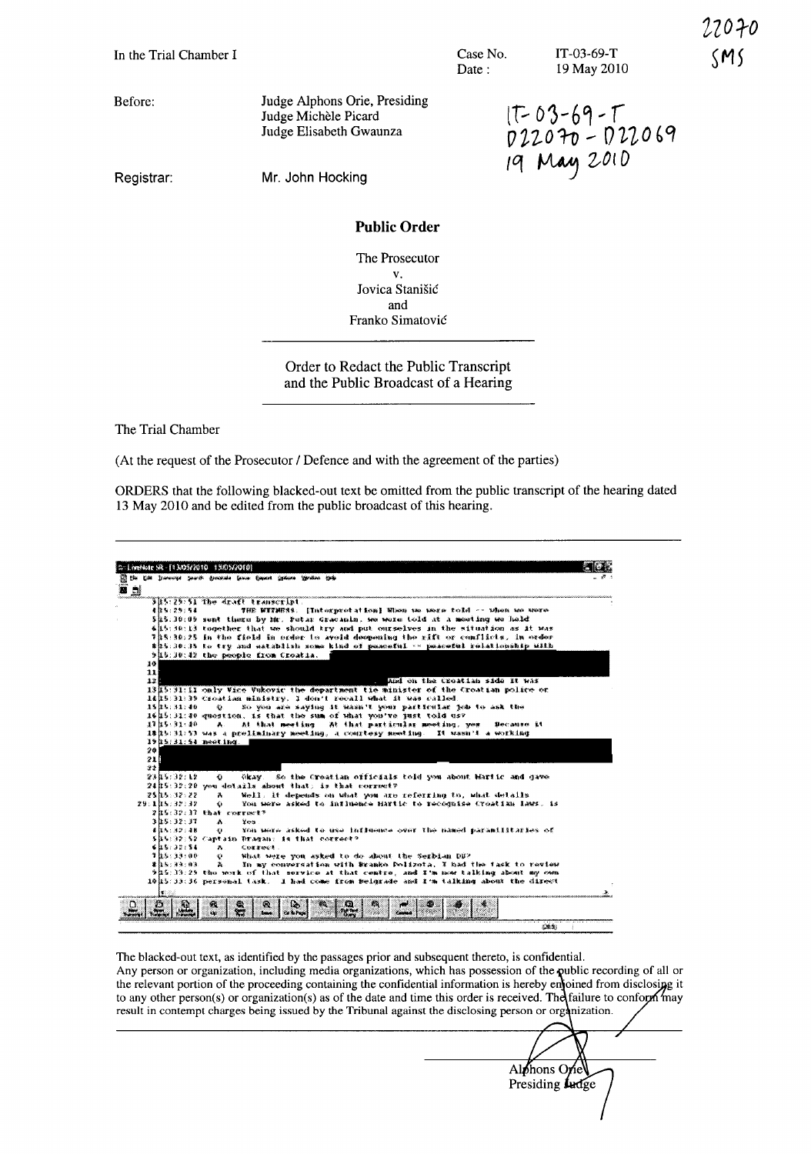|  |  |  |  | In the Trial Chamber I |  |
|--|--|--|--|------------------------|--|
|--|--|--|--|------------------------|--|

Case No. Date:

IT-03-69-T 19 May 2010 22070

Before:

Judge Alphons Orie, Presiding Judge Michèle Picard Judge Elisabeth Gwaunza

 $17 - 03 - 69 - T$ 022070 - 022069<br>19 May 2010

Registrar:

Mr. John Hocking

## **Public Order**

The Prosecutor  $\mathbf{V}$ Jovica Stanišić and Franko Simatović

Order to Redact the Public Transcript and the Public Broadcast of a Hearing

The Trial Chamber

(At the request of the Prosecutor / Defence and with the agreement of the parties)

ORDERS that the following blacked-out text be omitted from the public transcript of the hearing dated 13 May 2010 and be edited from the public broadcast of this hearing.



The blacked-out text, as identified by the passages prior and subsequent thereto, is confidential. Any person or organization, including media organizations, which has possession of the public recording of all or the relevant portion of the proceeding containing the confidential information is hereby enjoined from disclosing it to any other person(s) or organization(s) as of the date and time this order is received. The failure to conform may result in contempt charges being issued by the Tribunal against the disclosing person or organization.

Alphons Orie Presiding **Ludge**